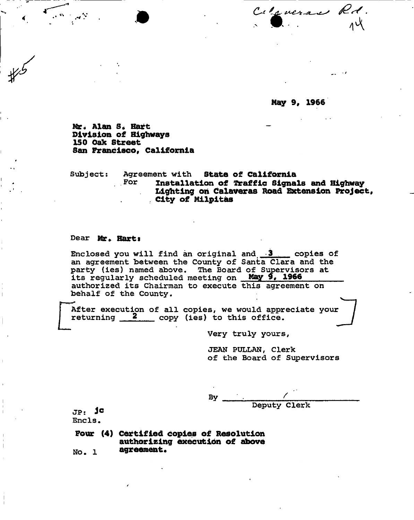Cityveran Rd.

**May 9, 1966** 

**Mr. Alan S, Hart Division of Highways 150 Oak Street San Francisco, California** 

**Subject: Agreement with State of California For installation of traffic Signals and Highway Lighting oh Calaveras Road Extension Project, City of Milpitas** 

#### **Dear Mr. Harts**

**Enclosed you will find an original and 3 copies of an agreement between the County of Santa Clara and the party (ies) named above. The Board of Supervisors at its regularly scheduled meeting on May 9, 1966 authorized its Chairman to execute this agreement on behalf of the County.** 

 $\begin{bmatrix} \n & \text{Art} \\ \n & \text{ret} \n \end{bmatrix}$ After execution of all copies, we would appreciate your **returning 2 copy (ies) to this office. /** 

**Very truly yours,** 

**JEAN PULLAN, Clerk of the Board of Supervisors** 

**By ' . f** 

**. Deputy Clerk** 

**JPs J<sup>c</sup> Ends .** 

**Four (4) Certified copies of Resolution authorizing execution of above No. 1 agreement.**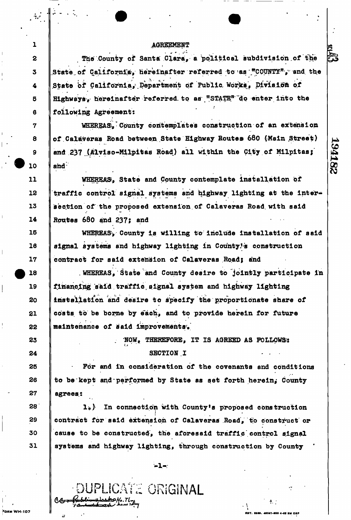## AGREEMENT

The County of Santa Clara, a political subdivision of the The County of Santa Clara, a political subdivision of the State, of California, hereinafter referred to as '\*C0UNTY<sup>n</sup>y : and. the State of California, Department of Public Works, Division of Highways, hereinafter referred to as "STATE" do enter into the following Agreement:

WHEREAS. County contemplates construction of an extension of Calaveras Road between State Highway Routes 680 (Main Street) and 237 (Alviso-Milpitas Road) all within the City of Milpitas; and  $237j$ 

194182

WHEREAS, State and County contemplate installation of traffic control signal systems and highway lighting at the intersection of the proposed extension of Calaveras Road with said Routes  $680$  and  $237$ ; and

WHEREAS', County is willing to include installation of said signal systems and highway lighting in County's construction contract for said extension of Calaveras Road; and

. WHEREAS, State and County desire to jointly participate in financing said traffic signal system and highway lighting installation and desire to specify the proportionate share of costs to be borne by each, and to provide herein for future maintenance of said improvements.

> NOW, THEREFORE, IT IS AGREED AS FOLLOWS: ; NOW, THEREFORE, IT IS AGREED AS FOLLOWS\*

> > $\ddagger$  :

For and in consideration of the covenants and conditions to be kept and performed by State as set forth herein, County to be kept and performed by State as set for  $\kappa$  for  $\kappa$  for  $\kappa$  for  $\kappa$  for  $\kappa$  for  $\kappa$  for  $\kappa$ 

agrees.: In connection with County's proposed construction lb) In connection with County's proposed construction *i*  cause to be constructed, the aforesaid traffic control signal systems and highway lighting, through construction by County

 $-1-$ 

•DUPLICATE ORIGINAL

 $\cdot$   $\cdot$ 

1

**2** 

**3** 

**4** 

**5** 

**6** 

**7** 

**8** 

**9** 

**10** 

**11** 

12

**13** 

**14** 

**15** 

**16** 

**17** 

18

**19** 

20

21

**22** 

**23** 

**24** 

**25** 

26

**27** 

28

**29** 

**30** 

**31**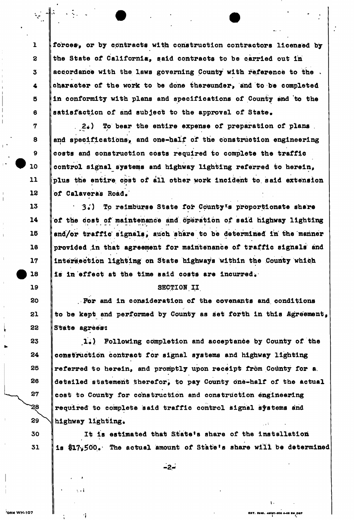forces, or by contracts with construction contractors licensed by the State of California, said contracts to be carried out In accordance with the laws governing County with reference to the . character of the work to be done thereunder, and to be completed in conformity with plans and specifications of County and to the satisfaction of and subject to the approval of State,

 $2<sub>e</sub>$ ) To bear the entire expense of preparation of plans I» T, »• and specifications', and one-half of the construction engineering costs and construction costs required to complete the traffic control signal systems and highway lighting referred to herein, plus the entire cost of all other work incident to said extension of Calaveras Road.

3.) To reimburse State for County's proportionate share of the cost of maintenance and operation of said highway lighting and/or traffic signals, such share to be determined in the manner provided in that agreement for maintenance of traffic signals and Intersection lighting on State highways within the County which is in effect at the time said costs are incurred.

#### SECTION II

For and in consideration of the covenants and conditions to be kept and performed by County as set forth in this Agreement, State agrees:

1.) Following completion and acceptance by County of the construction contract for signal systems and highway lighting referred to herein, and promptly upon receipt from County for a detailed statement therefor; to pay County one-half of the actual cost to County for construction and construction engineering required to complete said traffic control signal systems and highway lighting.

It is estimated that State's share of the installation is \$17,500. The actual amount of State's share will be determined

> *\*. **EST. 5389. 45057-800 4-68 BM OSP**

**-2- :** 

WH-107

\*

1

**2** 

**3** 

**4** 

**5** 

**6** 

**7** 

**8** 

**9** 

10

**11** 

**12** 

**13** 

**14** 

**15** 

**16** 

**17** 

18

**19** 

20

21

22

**23** 

**24** 

**25** 

**26** 

27

**29** 

`28

**30** 

**31** 

 $\mathcal{L}$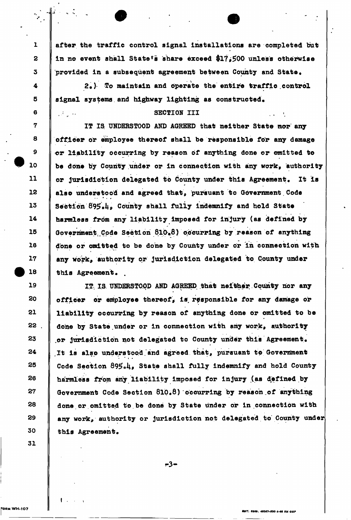after the traffic control signal installations are completed but in no event shall State's share exceed \$17.500 unless otherwise provided in a subsequent agreement between County and State.

20) To maintain and operate the entire traffic control signal systems and highway lighting as constructed.

# SECTION III

IT IS UNDERSTOOD AND AGREED that neither State nor any officer or employee thereof shall be responsible for any damage •or liability occurring by reason of anything done or omitted to be done by County under or in connection with any work, authority or jurisdiction delegated to County under this Agreement. It is also understood and agreed that, pursuant to Government Code Section 895.4. County shall fully indemnify and hold State harmless from any liability Imposed for injury (as defined by Government Code Section 810.8) occurring by reason of anything done or omitted to be done by County under or in connection with any work, authority or jurisdiction delegated to County under this Agreement. .

IT IS. UNDERSTOOD AND AGREED, that neither County nor any officer or employee thereof, is responsible for any damage or liability occurring by reason of anything done or omitted to be done by State under or in connection with any work, authority or jurisdiction not delegated to County under this Agreement. *It* is also understood.and agreed that, pursuant to Government Code Section 895.4. State shall fully indemnify and hold County harmless from any liability imposed for injury (as defined by Government Code Section  $610*8$ ) occurring by reason of anything done or omitted to be done by State under or in connection with any work, authority or jurisdiction not delegated to County under this Agreement.

 $-3-$ 

n r . urn . HOIT-KM 4-SB *au* OSP

p

1

**2** 

**3** 

**4** 

**5** 

6

المتاريخ وأقرار

**7** 

**8** 

**9** 

10

**11** 

**12** 

**13** 

**14** 

**15** 

**16** 

**17** 

18

**19** 

**20** 

**21** 

**22** 

**23** 

**24** 

**25** 

26

**27** 

28

**29** 

**30** 

**31** 

 $\mathbf t$  .  $\mathbf s$  ,  $\mathbf s$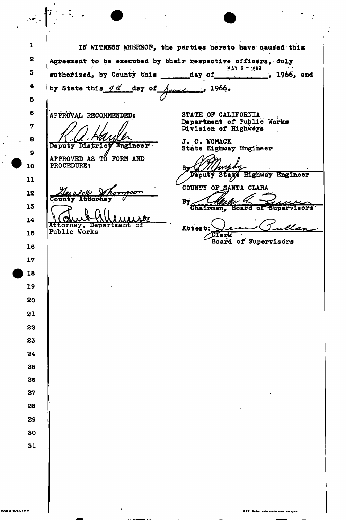1 IN WITNESS WHEREOF, the parties hereto have caused this **2**  Agreement to be executed by their respective officers, duly **MAY 9-1968**<br>**1966, and 3**  authorized, by County this  $\qquad \qquad$  day of **4**  by State this  $q \nleq$  day of **1966 • 5 6**  APPROVAL RECOMMENDED? STATE OF CALIFORNIA Department of Public Works **7**  Division of Highways. **8**  J. C. WOMACK Deputy Districy Engineer State Highway Engineer **9**  APPROVED AS TO FORM AND PROCEDURE: **10**  By\_ Veputy Staxe Highway Engineer **11**  COUNTY OF SANTA CLARA 12  $\overline{\mathtt{Count}}$ **By** Chairman, **13 Board of** Supervisors **14 Attorney, Department of**  Attest: **Public Works 15**  Clerk Board of Supervisors 16 **17 18 19**  20 21 **22 23 24 25**  26 **27 28 29 30 31** 

 $\cdot$   $\cdot$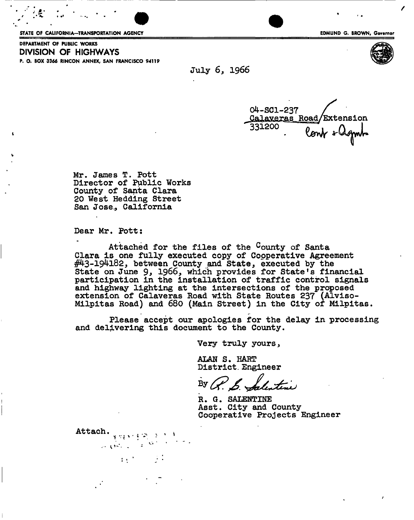STATE OF CALIFORNIA—TRANSPORTATION AGENCY **EDMUND G. BROWN, Governor** 

DEPARTMENT OF PUBLIC WORKS **DIVISION OF HIGHWAYS**  P. O. BOX 3366 RINCON ANNEX, SAN FRANCISCO 94119





July 6, 1966

04-SC1-237  $\frac{Calayeras$  Road/Extension<br>331200 0 0 0 lont slignts -

Mr. James T. Pott Director of Public Works County of Santa Clara 20 West Hedding Street San Jose., California

Dear Mr. Pott:

Attach.  $\frac{1}{1 + \frac{1}{2} + \frac{1}{2} + \frac{1}{2}}$ 

المنابي المأمونين

 $4.4$   $-1.4$ 

Attached for the files of the County of Santa Clara is one fully executed copy of Cooperative Agreement #43-194182, between County and State, executed by the State on June 9, 1966, which provides for State's financial participation in the installation of traffic control signals and highway lighting at the intersections of the proposed extension of Calaveras Road with State Routes 237 (Alviso-Milpitas Road) and 680 (Main Street) in the City of Milpitas.

Please accept our apologies for the delay in processing and delivering this document to the County.

Very truly yours,

ALAN S. HART District. Engineer

By  $\mathcal{L}$   $\mathcal{L}$ dentene

R. G. SALENTINE Asst. City and County Cooperative Projects Engineer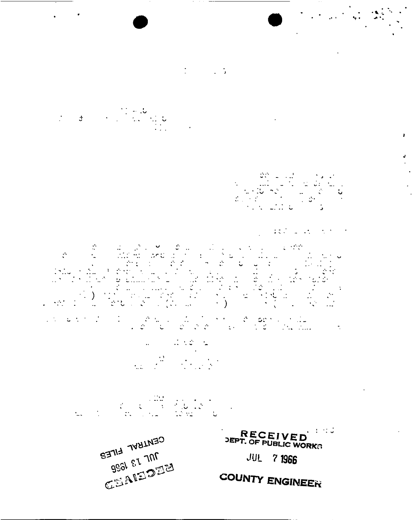

 $\mathbb{Z}^{\mathbb{Z}}$ 

**COUNTY ENGINEER** 

RECEIVED<br>DEPT. OF PUBLIC WORKS **JUL 7 1966** 

i portugal de la política de la política de la política de la política de la política de la política de la pol<br>La política de la política de la política de la política de la política de la política de la política de la po  $\mathcal{L}^{\text{max}}_{\text{max}}$  ,  $\mathcal{L}^{\text{max}}_{\text{max}}$  $\frac{1}{\sqrt{2}}$ a la constitución del proporciones de la proporciones de la constitución de la constitución de la constitución<br>En la constitución de la constitución de la constitución de la constitución de la constitución de la constituc  $\frac{\partial}{\partial x^2} = \frac{\partial}{\partial x^2} + \frac{\partial}{\partial y^2} + \frac{\partial}{\partial z^2} + \frac{\partial}{\partial z^2}$ 

 $\mathcal{L} \in \mathcal{L}^{\mathrm{loc}}_{\mathrm{loc}}$ ್ಲಿ ಪ್ರಸ್ತುತಿ<br>ಪ್ರಮುಖ ಕಾರ  $\mathcal{O}$  $\frac{1}{\sqrt{2}}\left(\frac{1}{\sqrt{2}}\right)^{2}\frac{1}{\sqrt{2}}\left(\frac{1}{\sqrt{2}}\right)^{2}$  $\begin{pmatrix} 1 & 1 \\ 1 & 1 \end{pmatrix}$ 

 $\frac{1}{2} \sum_{i=1}^n \frac{1}{2} \sum_{j=1}^n \frac{1}{2} \sum_{j=1}^n \frac{1}{2} \sum_{j=1}^n \frac{1}{2} \sum_{j=1}^n \frac{1}{2} \sum_{j=1}^n \frac{1}{2} \sum_{j=1}^n \frac{1}{2} \sum_{j=1}^n \frac{1}{2} \sum_{j=1}^n \frac{1}{2} \sum_{j=1}^n \frac{1}{2} \sum_{j=1}^n \frac{1}{2} \sum_{j=1}^n \frac{1}{2} \sum_{j=1}^n \frac{1}{2} \sum_{j=$ 

 $\frac{1}{\sqrt{2}}$ 

 $\label{eq:2} \frac{1}{\sqrt{2}}\left(\frac{1}{\sqrt{2}}\right)^2\left(\frac{1}{\sqrt{2}}\right)^2\left(\frac{1}{\sqrt{2}}\right)^2\left(\frac{1}{\sqrt{2}}\right)^2.$ 

 $\mathbf{r}$ 

 $\mathcal{A}$ 

 $\mathbb{R}^3 \times \mathbb{R}^3$  .  $\mathbb{R}^3$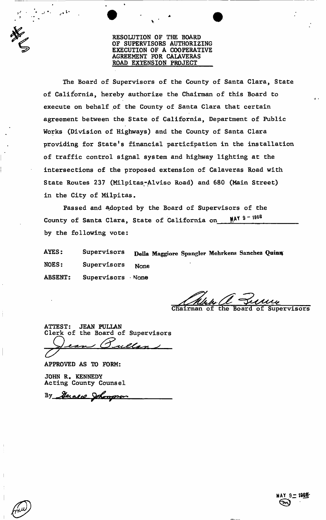RESOLUTION OF THE BOARD OF SUPERVISORS AUTHORIZING EXECUTION OF A COOPERATIVE AGREEMENT FOR CALAVERAS ROAD EXTENSION PROJECT

The Board of Supervisors of the County of Santa Clara, State execute on behalf of the County of Santa Clara that certain agreement between the State of California, Department of Public Works (Division of Highways) and the County of Santa Clara providing for State's financial participation in the installation of traffic control signal system and highway lighting at the intersections of the proposed extension of Calaveras Road with State Routes 237 (Milpitas-Alviso Road) and 680 (Main Street) in the City of Milpitas. of California, hereby authorize the Chairman of this Board to

Passed and adopted by the Board of Supervisors of the County of Santa Clara, State of California on MAY 9 - 1966 by the following vote:

AYES: Supervisors Della Maggiore Spangler Mehrkens Sanchez Quinn NOES: Supervisors None ABSENT: Supervisors None

Board of Supervisors

ATTEST: JEAN PULLAN Clerk of the Board of Supervisors

APPROVED AS TO FORM:

JOHN R. KENNEDY Acting County Counsel

By Heraeco Johannon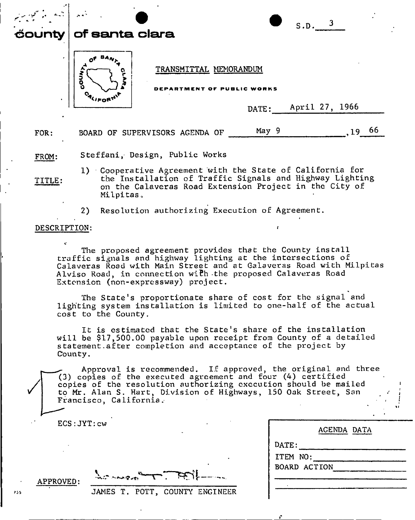| $\mathbf{L} = \mathbf{L}$<br><b>čounty</b> | $\sim$ $\sim$ $^{\circ}$<br>of santa clara          |                | S.D.            |     |
|--------------------------------------------|-----------------------------------------------------|----------------|-----------------|-----|
| $\bullet$                                  | TRANSMITTAL MEMORANDUM<br>5<br>DEPARTMENT OF PUBLIC | WORKS<br>DATE: | April 27, 1966  |     |
| FOR:                                       | BOARD OF SUPERVISORS AGENDA OF                      | May 9          | 19 <sub>1</sub> | -66 |
| FROM:                                      | Steffani, Design, Public Works                      |                |                 |     |

**1) Cooperative Agreement with the State of California for TITLE: the Installation of Traffic Signals and Highway Lighting ' on the Calaveras Road Extension Project in the City of**  Milpitas.

**2) Resolution authorizing Execution of Agreement. <sup>&</sup>gt; »** 

### **DESCRIPTION:**

**The proposed agreement provides that the County install traffic signals and highway lighting at the intersections of Calaveras Road with Main Street and at Calaveras Road with Milpitas Alviso Road, in connection wi£h -the proposed Calaveras Road Extension (non-expressway) project.** 

**The State's proportionate share of cost for the signal and lighting system installation is limited to one-half of the actual cost to the County.** 

**It is estimated that the State's share of the installation will be \$17,500.00 payable upon receipt from County of a detailed s tatement.. after completion and acceptance of the project by County.** 

**^ Approval is recommended. If approved, the original and three (3) copies of the executed agreement and four (4) certified copies of the resolution authorizing execution should be mailed to Mr. Alan S. Hart, Division of Highways, 150 Oak Street, San Francisco, California.** 

| $\texttt{ECS:JYT:}\texttt{cw}$ |  |
|--------------------------------|--|
|--------------------------------|--|

|                  | AGENDA DATA |
|------------------|-------------|
| $\mathtt{DATE:}$ |             |
| ITEM NO:         |             |
| BOARD ACTION     |             |
|                  |             |
|                  |             |

**APPROVED:** 

**JAMES T. POTT, COUNTY ENGINEER** 

 $\bigvee$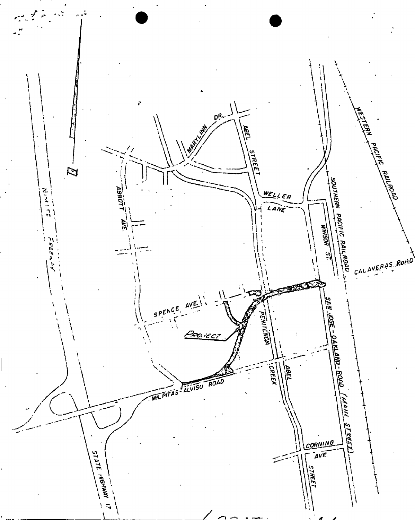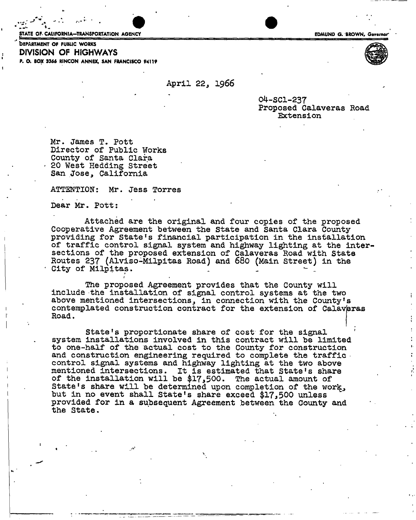STATE OF- CALIFORNIA—TRANSPORTATION AGENCY EDMUND G. BROWN, Governor and STATE EDMUND G. BROWN, Governor

» *J* - . . - V •



bEPARTMENT OP PUBLIC WORKS **DIVISION OF HIGHWAYS**  P. O. BOX 3366 RINCON ANNEX, SAN FRANCISCO 94119

April 22, 1966

04-SC1-237 Proposed Calaveras Road Extension

Mr. James T. Pott Director of Public Works County of Santa Clara - 20 West Hedding Street San Jose, California

ATTENTION: Mr. Jess Torres

*1* 

Dear Mr. Pott:

Attached are the original and four copies of the proposed Cooperative Agreement between the State and Santa Clara County providing for State's financial participation in the installation of traffic control signal system and highway lighting at the intersections of the proposed extension of Calaveras Road with State Routes 237 (Alviso-Milpitas Road) and 680 (Main Street) in the City of Milpitas.

The proposed Agreement provides that the County will include the installation of signal control systems at the two above mentioned intersections, in connection with the County's contemplated construction contract for the extension of Calaveras Road.

State's proportionate share of cost for the signal system installations involved in this contract will be limited to one-half of the actual cost to the County for construction and construction engineering required to complete the traffic control signal systems and highway lighting at the two above mentioned intersections. It is estimated that State's share of the installation will be \$17,500. The actual amount of State's share will be determined upon completion of the work, but in no event shall State's share exceed \$17,500 unless provided for in a subsequent Agreement between the County and the State.

\